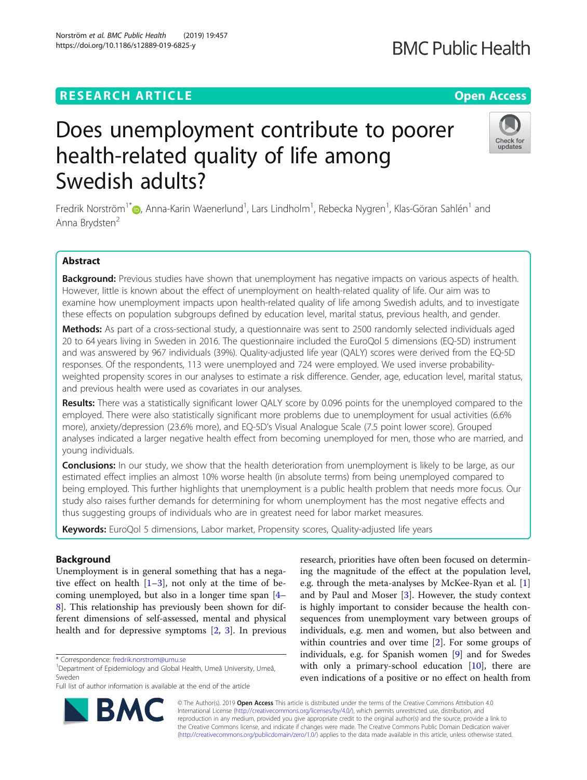# **RESEARCH ARTICLE Example 2018 12:30 THE Open Access**

# Does unemployment contribute to poorer health-related quality of life among Swedish adults?

Fredrik Norström $^{1^*}$  $\bm{\odot}$ [,](http://orcid.org/0000-0002-0457-2175) Anna-Karin Waenerlund $^1$ , Lars Lindholm $^1$ , Rebecka Nygren $^1$ , Klas-Göran Sahlén $^1$  and Anna Brydsten<sup>2</sup>

# Abstract

Background: Previous studies have shown that unemployment has negative impacts on various aspects of health. However, little is known about the effect of unemployment on health-related quality of life. Our aim was to examine how unemployment impacts upon health-related quality of life among Swedish adults, and to investigate these effects on population subgroups defined by education level, marital status, previous health, and gender.

Methods: As part of a cross-sectional study, a questionnaire was sent to 2500 randomly selected individuals aged 20 to 64 years living in Sweden in 2016. The questionnaire included the EuroQol 5 dimensions (EQ-5D) instrument and was answered by 967 individuals (39%). Quality-adjusted life year (QALY) scores were derived from the EQ-5D responses. Of the respondents, 113 were unemployed and 724 were employed. We used inverse probabilityweighted propensity scores in our analyses to estimate a risk difference. Gender, age, education level, marital status, and previous health were used as covariates in our analyses.

Results: There was a statistically significant lower QALY score by 0.096 points for the unemployed compared to the employed. There were also statistically significant more problems due to unemployment for usual activities (6.6% more), anxiety/depression (23.6% more), and EQ-5D's Visual Analogue Scale (7.5 point lower score). Grouped analyses indicated a larger negative health effect from becoming unemployed for men, those who are married, and young individuals.

**Conclusions:** In our study, we show that the health deterioration from unemployment is likely to be large, as our estimated effect implies an almost 10% worse health (in absolute terms) from being unemployed compared to being employed. This further highlights that unemployment is a public health problem that needs more focus. Our study also raises further demands for determining for whom unemployment has the most negative effects and thus suggesting groups of individuals who are in greatest need for labor market measures.

Keywords: EuroQol 5 dimensions, Labor market, Propensity scores, Quality-adjusted life years

# Background

Unemployment is in general something that has a negative effect on health  $[1-3]$  $[1-3]$  $[1-3]$ , not only at the time of becoming unemployed, but also in a longer time span [[4](#page-11-0)– [8\]](#page-11-0). This relationship has previously been shown for different dimensions of self-assessed, mental and physical health and for depressive symptoms [[2,](#page-11-0) [3](#page-11-0)]. In previous

\* Correspondence: [fredrik.norstrom@umu.se](mailto:fredrik.norstrom@umu.se) <sup>1</sup>

RM(

Full list of author information is available at the end of the article

research, priorities have often been focused on determining the magnitude of the effect at the population level, e.g. through the meta-analyses by McKee-Ryan et al. [\[1](#page-11-0)] and by Paul and Moser [\[3\]](#page-11-0). However, the study context is highly important to consider because the health consequences from unemployment vary between groups of individuals, e.g. men and women, but also between and within countries and over time [[2\]](#page-11-0). For some groups of individuals, e.g. for Spanish women [[9\]](#page-11-0) and for Swedes with only a primary-school education [\[10](#page-11-0)], there are even indications of a positive or no effect on health from

© The Author(s). 2019 **Open Access** This article is distributed under the terms of the Creative Commons Attribution 4.0 International License [\(http://creativecommons.org/licenses/by/4.0/](http://creativecommons.org/licenses/by/4.0/)), which permits unrestricted use, distribution, and reproduction in any medium, provided you give appropriate credit to the original author(s) and the source, provide a link to the Creative Commons license, and indicate if changes were made. The Creative Commons Public Domain Dedication waiver [\(http://creativecommons.org/publicdomain/zero/1.0/](http://creativecommons.org/publicdomain/zero/1.0/)) applies to the data made available in this article, unless otherwise stated.







<sup>&</sup>lt;sup>1</sup>Department of Epidemiology and Global Health, Umeå University, Umeå, Sweden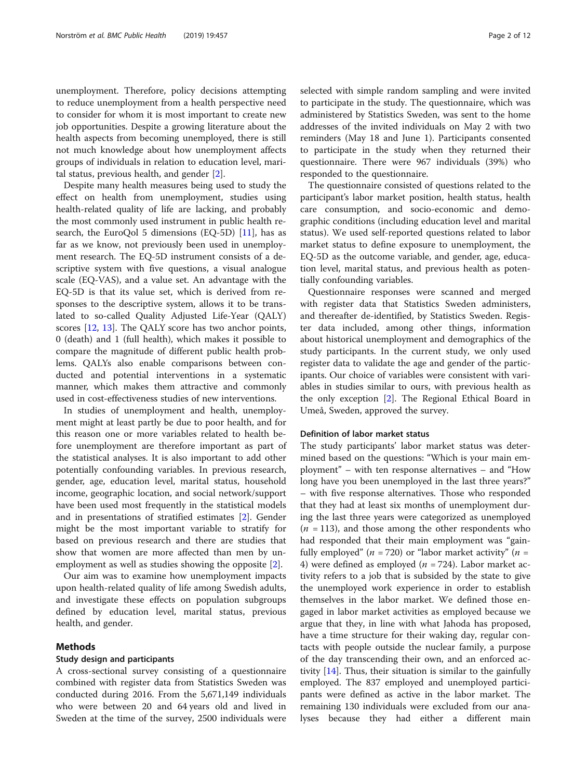unemployment. Therefore, policy decisions attempting to reduce unemployment from a health perspective need to consider for whom it is most important to create new job opportunities. Despite a growing literature about the health aspects from becoming unemployed, there is still not much knowledge about how unemployment affects groups of individuals in relation to education level, marital status, previous health, and gender [\[2](#page-11-0)].

Despite many health measures being used to study the effect on health from unemployment, studies using health-related quality of life are lacking, and probably the most commonly used instrument in public health research, the EuroQol 5 dimensions (EQ-5D)  $[11]$  $[11]$ , has as far as we know, not previously been used in unemployment research. The EQ-5D instrument consists of a descriptive system with five questions, a visual analogue scale (EQ-VAS), and a value set. An advantage with the EQ-5D is that its value set, which is derived from responses to the descriptive system, allows it to be translated to so-called Quality Adjusted Life-Year (QALY) scores [\[12](#page-11-0), [13\]](#page-11-0). The QALY score has two anchor points, 0 (death) and 1 (full health), which makes it possible to compare the magnitude of different public health problems. QALYs also enable comparisons between conducted and potential interventions in a systematic manner, which makes them attractive and commonly used in cost-effectiveness studies of new interventions.

In studies of unemployment and health, unemployment might at least partly be due to poor health, and for this reason one or more variables related to health before unemployment are therefore important as part of the statistical analyses. It is also important to add other potentially confounding variables. In previous research, gender, age, education level, marital status, household income, geographic location, and social network/support have been used most frequently in the statistical models and in presentations of stratified estimates [[2](#page-11-0)]. Gender might be the most important variable to stratify for based on previous research and there are studies that show that women are more affected than men by unemployment as well as studies showing the opposite [[2\]](#page-11-0).

Our aim was to examine how unemployment impacts upon health-related quality of life among Swedish adults, and investigate these effects on population subgroups defined by education level, marital status, previous health, and gender.

# Methods

### Study design and participants

A cross-sectional survey consisting of a questionnaire combined with register data from Statistics Sweden was conducted during 2016. From the 5,671,149 individuals who were between 20 and 64 years old and lived in Sweden at the time of the survey, 2500 individuals were selected with simple random sampling and were invited to participate in the study. The questionnaire, which was administered by Statistics Sweden, was sent to the home addresses of the invited individuals on May 2 with two reminders (May 18 and June 1). Participants consented to participate in the study when they returned their questionnaire. There were 967 individuals (39%) who responded to the questionnaire.

The questionnaire consisted of questions related to the participant's labor market position, health status, health care consumption, and socio-economic and demographic conditions (including education level and marital status). We used self-reported questions related to labor market status to define exposure to unemployment, the EQ-5D as the outcome variable, and gender, age, education level, marital status, and previous health as potentially confounding variables.

Questionnaire responses were scanned and merged with register data that Statistics Sweden administers, and thereafter de-identified, by Statistics Sweden. Register data included, among other things, information about historical unemployment and demographics of the study participants. In the current study, we only used register data to validate the age and gender of the participants. Our choice of variables were consistent with variables in studies similar to ours, with previous health as the only exception [\[2](#page-11-0)]. The Regional Ethical Board in Umeå, Sweden, approved the survey.

#### Definition of labor market status

The study participants' labor market status was determined based on the questions: "Which is your main employment" – with ten response alternatives – and "How long have you been unemployed in the last three years?" – with five response alternatives. Those who responded that they had at least six months of unemployment during the last three years were categorized as unemployed  $(n = 113)$ , and those among the other respondents who had responded that their main employment was "gainfully employed" ( $n = 720$ ) or "labor market activity" ( $n =$ 4) were defined as employed ( $n = 724$ ). Labor market activity refers to a job that is subsided by the state to give the unemployed work experience in order to establish themselves in the labor market. We defined those engaged in labor market activities as employed because we argue that they, in line with what Jahoda has proposed, have a time structure for their waking day, regular contacts with people outside the nuclear family, a purpose of the day transcending their own, and an enforced activity [\[14](#page-11-0)]. Thus, their situation is similar to the gainfully employed. The 837 employed and unemployed participants were defined as active in the labor market. The remaining 130 individuals were excluded from our analyses because they had either a different main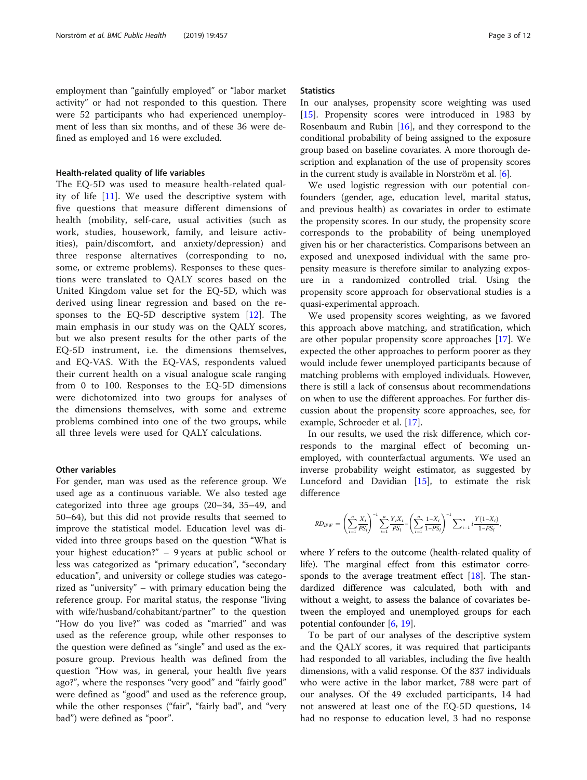employment than "gainfully employed" or "labor market activity" or had not responded to this question. There were 52 participants who had experienced unemployment of less than six months, and of these 36 were defined as employed and 16 were excluded.

#### Health-related quality of life variables

The EQ-5D was used to measure health-related quality of life [[11\]](#page-11-0). We used the descriptive system with five questions that measure different dimensions of health (mobility, self-care, usual activities (such as work, studies, housework, family, and leisure activities), pain/discomfort, and anxiety/depression) and three response alternatives (corresponding to no, some, or extreme problems). Responses to these questions were translated to QALY scores based on the United Kingdom value set for the EQ-5D, which was derived using linear regression and based on the responses to the EQ-5D descriptive system [[12\]](#page-11-0). The main emphasis in our study was on the QALY scores, but we also present results for the other parts of the EQ-5D instrument, i.e. the dimensions themselves, and EQ-VAS. With the EQ-VAS, respondents valued their current health on a visual analogue scale ranging from 0 to 100. Responses to the EQ-5D dimensions were dichotomized into two groups for analyses of the dimensions themselves, with some and extreme problems combined into one of the two groups, while all three levels were used for QALY calculations.

### Other variables

For gender, man was used as the reference group. We used age as a continuous variable. We also tested age categorized into three age groups (20–34, 35–49, and 50–64), but this did not provide results that seemed to improve the statistical model. Education level was divided into three groups based on the question "What is your highest education?" – 9 years at public school or less was categorized as "primary education", "secondary education", and university or college studies was categorized as "university" – with primary education being the reference group. For marital status, the response "living with wife/husband/cohabitant/partner" to the question "How do you live?" was coded as "married" and was used as the reference group, while other responses to the question were defined as "single" and used as the exposure group. Previous health was defined from the question "How was, in general, your health five years ago?", where the responses "very good" and "fairly good" were defined as "good" and used as the reference group, while the other responses ("fair", "fairly bad", and "very bad") were defined as "poor".

# **Statistics**

In our analyses, propensity score weighting was used [[15\]](#page-11-0). Propensity scores were introduced in 1983 by Rosenbaum and Rubin  $[16]$  $[16]$ , and they correspond to the conditional probability of being assigned to the exposure group based on baseline covariates. A more thorough description and explanation of the use of propensity scores in the current study is available in Norström et al. [\[6](#page-11-0)].

We used logistic regression with our potential confounders (gender, age, education level, marital status, and previous health) as covariates in order to estimate the propensity scores. In our study, the propensity score corresponds to the probability of being unemployed given his or her characteristics. Comparisons between an exposed and unexposed individual with the same propensity measure is therefore similar to analyzing exposure in a randomized controlled trial. Using the propensity score approach for observational studies is a quasi-experimental approach.

We used propensity scores weighting, as we favored this approach above matching, and stratification, which are other popular propensity score approaches [\[17](#page-11-0)]. We expected the other approaches to perform poorer as they would include fewer unemployed participants because of matching problems with employed individuals. However, there is still a lack of consensus about recommendations on when to use the different approaches. For further discussion about the propensity score approaches, see, for example, Schroeder et al. [[17\]](#page-11-0).

In our results, we used the risk difference, which corresponds to the marginal effect of becoming unemployed, with counterfactual arguments. We used an inverse probability weight estimator, as suggested by Lunceford and Davidian [\[15](#page-11-0)], to estimate the risk difference

$$
RD_{IPW} = \left(\sum_{i=1}^{n} \frac{X_i}{PS_i}\right)^{-1} \sum_{i=1}^{n} \frac{Y_i X_i}{PS_i} - \left(\sum_{i=1}^{n} \frac{1-X_i}{1-PS_i}\right)^{-1} \sum_{i=1}^{n} i \frac{Y(1-X_i)}{1-PS_i},
$$

where Y refers to the outcome (health-related quality of life). The marginal effect from this estimator corresponds to the average treatment effect  $[18]$  $[18]$ . The standardized difference was calculated, both with and without a weight, to assess the balance of covariates between the employed and unemployed groups for each potential confounder [[6,](#page-11-0) [19\]](#page-11-0).

To be part of our analyses of the descriptive system and the QALY scores, it was required that participants had responded to all variables, including the five health dimensions, with a valid response. Of the 837 individuals who were active in the labor market, 788 were part of our analyses. Of the 49 excluded participants, 14 had not answered at least one of the EQ-5D questions, 14 had no response to education level, 3 had no response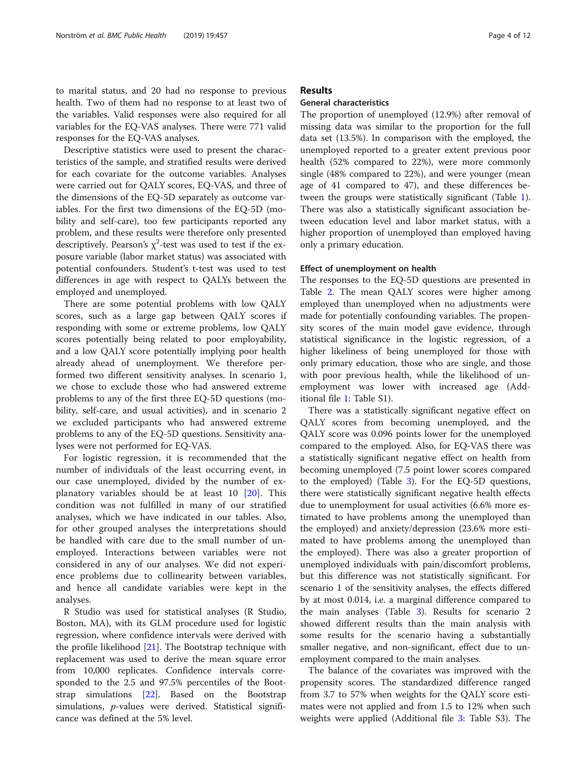Descriptive statistics were used to present the characteristics of the sample, and stratified results were derived for each covariate for the outcome variables. Analyses were carried out for QALY scores, EQ-VAS, and three of the dimensions of the EQ-5D separately as outcome variables. For the first two dimensions of the EQ-5D (mobility and self-care), too few participants reported any problem, and these results were therefore only presented descriptively. Pearson's  $\chi^2$ -test was used to test if the exposure variable (labor market status) was associated with potential confounders. Student's t-test was used to test differences in age with respect to QALYs between the employed and unemployed.

There are some potential problems with low QALY scores, such as a large gap between QALY scores if responding with some or extreme problems, low QALY scores potentially being related to poor employability, and a low QALY score potentially implying poor health already ahead of unemployment. We therefore performed two different sensitivity analyses. In scenario 1, we chose to exclude those who had answered extreme problems to any of the first three EQ-5D questions (mobility, self-care, and usual activities), and in scenario 2 we excluded participants who had answered extreme problems to any of the EQ-5D questions. Sensitivity analyses were not performed for EQ-VAS.

For logistic regression, it is recommended that the number of individuals of the least occurring event, in our case unemployed, divided by the number of explanatory variables should be at least 10 [[20\]](#page-11-0). This condition was not fulfilled in many of our stratified analyses, which we have indicated in our tables. Also, for other grouped analyses the interpretations should be handled with care due to the small number of unemployed. Interactions between variables were not considered in any of our analyses. We did not experience problems due to collinearity between variables, and hence all candidate variables were kept in the analyses.

R Studio was used for statistical analyses (R Studio, Boston, MA), with its GLM procedure used for logistic regression, where confidence intervals were derived with the profile likelihood [[21\]](#page-11-0). The Bootstrap technique with replacement was used to derive the mean square error from 10,000 replicates. Confidence intervals corresponded to the 2.5 and 97.5% percentiles of the Bootstrap simulations [[22](#page-11-0)]. Based on the Bootstrap simulations, p-values were derived. Statistical significance was defined at the 5% level.

# Results

### General characteristics

The proportion of unemployed (12.9%) after removal of missing data was similar to the proportion for the full data set (13.5%). In comparison with the employed, the unemployed reported to a greater extent previous poor health (52% compared to 22%), were more commonly single (48% compared to 22%), and were younger (mean age of 41 compared to 47), and these differences between the groups were statistically significant (Table [1](#page-4-0)). There was also a statistically significant association between education level and labor market status, with a higher proportion of unemployed than employed having only a primary education.

# Effect of unemployment on health

The responses to the EQ-5D questions are presented in Table [2](#page-5-0). The mean QALY scores were higher among employed than unemployed when no adjustments were made for potentially confounding variables. The propensity scores of the main model gave evidence, through statistical significance in the logistic regression, of a higher likeliness of being unemployed for those with only primary education, those who are single, and those with poor previous health, while the likelihood of unemployment was lower with increased age (Additional file [1:](#page-10-0) Table S1).

There was a statistically significant negative effect on QALY scores from becoming unemployed, and the QALY score was 0.096 points lower for the unemployed compared to the employed. Also, for EQ-VAS there was a statistically significant negative effect on health from becoming unemployed (7.5 point lower scores compared to the employed) (Table [3\)](#page-6-0). For the EQ-5D questions, there were statistically significant negative health effects due to unemployment for usual activities (6.6% more estimated to have problems among the unemployed than the employed) and anxiety/depression (23.6% more estimated to have problems among the unemployed than the employed). There was also a greater proportion of unemployed individuals with pain/discomfort problems, but this difference was not statistically significant. For scenario 1 of the sensitivity analyses, the effects differed by at most 0.014, i.e. a marginal difference compared to the main analyses (Table [3\)](#page-6-0). Results for scenario 2 showed different results than the main analysis with some results for the scenario having a substantially smaller negative, and non-significant, effect due to unemployment compared to the main analyses.

The balance of the covariates was improved with the propensity scores. The standardized difference ranged from 3.7 to 57% when weights for the QALY score estimates were not applied and from 1.5 to 12% when such weights were applied (Additional file [3:](#page-10-0) Table S3). The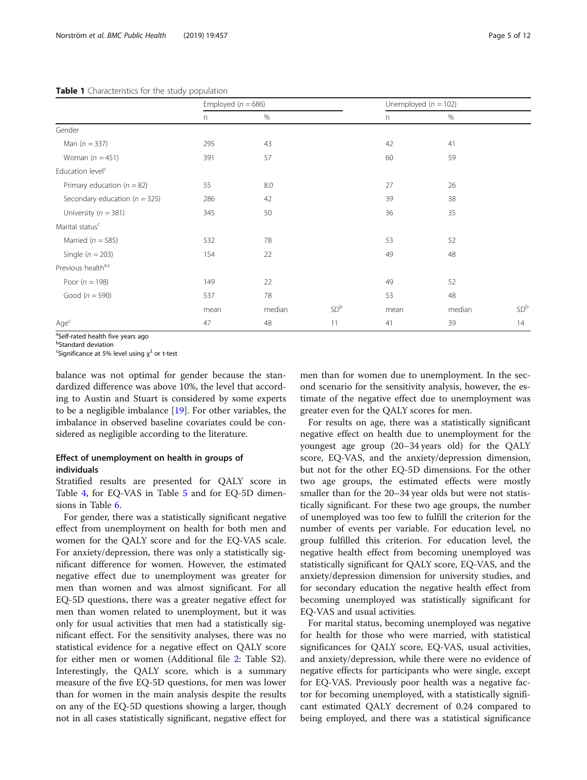<span id="page-4-0"></span>Table 1 Characteristics for the study population

|                                   | Employed ( $n = 686$ ) |        |                 |      | Unemployed ( $n = 102$ ) |                 |
|-----------------------------------|------------------------|--------|-----------------|------|--------------------------|-----------------|
|                                   | n                      | %      |                 | n    | %                        |                 |
| Gender                            |                        |        |                 |      |                          |                 |
| Man $(n = 337)$                   | 295                    | 43     |                 | 42   | 41                       |                 |
| Woman $(n = 451)$                 | 391                    | 57     |                 | 60   | 59                       |                 |
| Education level <sup>c</sup>      |                        |        |                 |      |                          |                 |
| Primary education ( $n = 82$ )    | 55                     | 8.0    |                 | 27   | 26                       |                 |
| Secondary education ( $n = 325$ ) | 286                    | 42     |                 | 39   | 38                       |                 |
| University ( $n = 381$ )          | 345                    | 50     |                 | 36   | 35                       |                 |
| Marital status <sup>c</sup>       |                        |        |                 |      |                          |                 |
| Married ( $n = 585$ )             | 532                    | 78     |                 | 53   | 52                       |                 |
| Single ( $n = 203$ )              | 154                    | 22     |                 | 49   | 48                       |                 |
| Previous healtha,c                |                        |        |                 |      |                          |                 |
| Poor ( $n = 198$ )                | 149                    | 22     |                 | 49   | 52                       |                 |
| Good ( $n = 590$ )                | 537                    | 78     |                 | 53   | 48                       |                 |
|                                   | mean                   | median | SD <sup>b</sup> | mean | median                   | SD <sup>b</sup> |
| Age <sup>c</sup>                  | 47                     | 48     | 11              | 41   | 39                       | 14              |

<sup>a</sup>Self-rated health five years ago

<sup>b</sup>Standard deviation

<sup>c</sup>Significance at 5% level using  $\chi^2$  or t-test

balance was not optimal for gender because the standardized difference was above 10%, the level that according to Austin and Stuart is considered by some experts to be a negligible imbalance [\[19\]](#page-11-0). For other variables, the imbalance in observed baseline covariates could be considered as negligible according to the literature.

# Effect of unemployment on health in groups of individuals

Stratified results are presented for QALY score in Table [4,](#page-6-0) for EQ-VAS in Table [5](#page-7-0) and for EQ-5D dimensions in Table [6](#page-8-0).

For gender, there was a statistically significant negative effect from unemployment on health for both men and women for the QALY score and for the EQ-VAS scale. For anxiety/depression, there was only a statistically significant difference for women. However, the estimated negative effect due to unemployment was greater for men than women and was almost significant. For all EQ-5D questions, there was a greater negative effect for men than women related to unemployment, but it was only for usual activities that men had a statistically significant effect. For the sensitivity analyses, there was no statistical evidence for a negative effect on QALY score for either men or women (Additional file [2](#page-10-0): Table S2). Interestingly, the QALY score, which is a summary measure of the five EQ-5D questions, for men was lower than for women in the main analysis despite the results on any of the EQ-5D questions showing a larger, though not in all cases statistically significant, negative effect for men than for women due to unemployment. In the second scenario for the sensitivity analysis, however, the estimate of the negative effect due to unemployment was greater even for the QALY scores for men.

For results on age, there was a statistically significant negative effect on health due to unemployment for the youngest age group (20–34 years old) for the QALY score, EQ-VAS, and the anxiety/depression dimension, but not for the other EQ-5D dimensions. For the other two age groups, the estimated effects were mostly smaller than for the 20–34 year olds but were not statistically significant. For these two age groups, the number of unemployed was too few to fulfill the criterion for the number of events per variable. For education level, no group fulfilled this criterion. For education level, the negative health effect from becoming unemployed was statistically significant for QALY score, EQ-VAS, and the anxiety/depression dimension for university studies, and for secondary education the negative health effect from becoming unemployed was statistically significant for EQ-VAS and usual activities.

For marital status, becoming unemployed was negative for health for those who were married, with statistical significances for QALY score, EQ-VAS, usual activities, and anxiety/depression, while there were no evidence of negative effects for participants who were single, except for EQ-VAS. Previously poor health was a negative factor for becoming unemployed, with a statistically significant estimated QALY decrement of 0.24 compared to being employed, and there was a statistical significance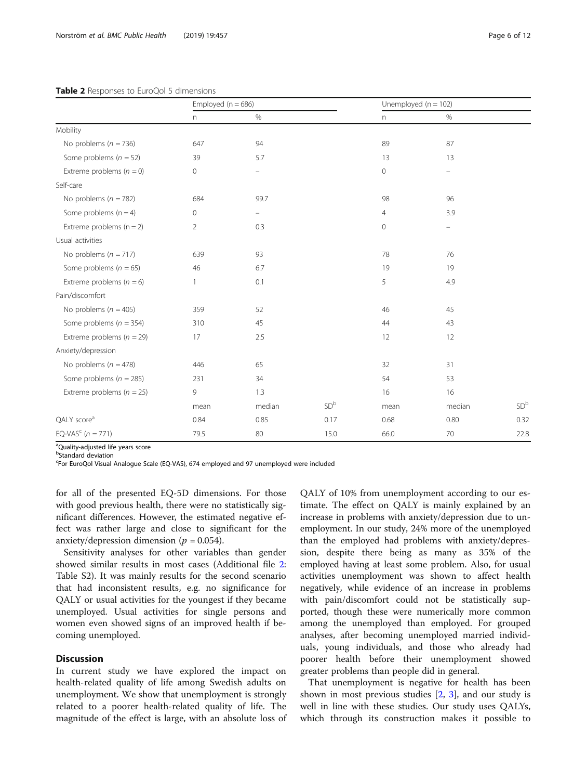#### <span id="page-5-0"></span>Table 2 Responses to EuroQol 5 dimensions

|                                   | Employed ( $n = 686$ ) |        |                 |                | Unemployed ( $n = 102$ ) |                 |
|-----------------------------------|------------------------|--------|-----------------|----------------|--------------------------|-----------------|
|                                   | n                      | $\%$   |                 | n              | $\%$                     |                 |
| Mobility                          |                        |        |                 |                |                          |                 |
| No problems ( $n = 736$ )         | 647                    | 94     |                 | 89             | 87                       |                 |
| Some problems ( $n = 52$ )        | 39                     | 5.7    |                 | 13             | 13                       |                 |
| Extreme problems $(n = 0)$        | 0                      | -      |                 | 0              | $\overline{\phantom{0}}$ |                 |
| Self-care                         |                        |        |                 |                |                          |                 |
| No problems ( $n = 782$ )         | 684                    | 99.7   |                 | 98             | 96                       |                 |
| Some problems $(n = 4)$           | 0                      | -      |                 | $\overline{4}$ | 3.9                      |                 |
| Extreme problems $(n = 2)$        | $\overline{2}$         | 0.3    |                 | $\mathbf 0$    | ÷,                       |                 |
| Usual activities                  |                        |        |                 |                |                          |                 |
| No problems ( $n = 717$ )         | 639                    | 93     |                 | 78             | 76                       |                 |
| Some problems ( $n = 65$ )        | 46                     | 6.7    |                 | 19             | 19                       |                 |
| Extreme problems ( $n = 6$ )      | 1                      | 0.1    |                 | 5              | 4.9                      |                 |
| Pain/discomfort                   |                        |        |                 |                |                          |                 |
| No problems ( $n = 405$ )         | 359                    | 52     |                 | 46             | 45                       |                 |
| Some problems ( $n = 354$ )       | 310                    | 45     |                 | 44             | 43                       |                 |
| Extreme problems ( $n = 29$ )     | 17                     | 2.5    |                 | 12             | 12                       |                 |
| Anxiety/depression                |                        |        |                 |                |                          |                 |
| No problems ( $n = 478$ )         | 446                    | 65     |                 | 32             | 31                       |                 |
| Some problems ( $n = 285$ )       | 231                    | 34     |                 | 54             | 53                       |                 |
| Extreme problems ( $n = 25$ )     | 9                      | 1.3    |                 | 16             | 16                       |                 |
|                                   | mean                   | median | SD <sup>b</sup> | mean           | median                   | SD <sup>b</sup> |
| QALY score <sup>a</sup>           | 0.84                   | 0.85   | 0.17            | 0.68           | 0.80                     | 0.32            |
| EQ-VAS <sup>c</sup> ( $n = 771$ ) | 79.5                   | 80     | 15.0            | 66.0           | 70                       | 22.8            |

<sup>a</sup>Quality-adjusted life years score **b**Standard deviation

For EuroQol Visual Analogue Scale (EQ-VAS), 674 employed and 97 unemployed were included

for all of the presented EQ-5D dimensions. For those with good previous health, there were no statistically significant differences. However, the estimated negative effect was rather large and close to significant for the anxiety/depression dimension ( $p = 0.054$ ).

Sensitivity analyses for other variables than gender showed similar results in most cases (Additional file [2](#page-10-0): Table S2). It was mainly results for the second scenario that had inconsistent results, e.g. no significance for QALY or usual activities for the youngest if they became unemployed. Usual activities for single persons and women even showed signs of an improved health if becoming unemployed.

### **Discussion**

In current study we have explored the impact on health-related quality of life among Swedish adults on unemployment. We show that unemployment is strongly related to a poorer health-related quality of life. The magnitude of the effect is large, with an absolute loss of QALY of 10% from unemployment according to our estimate. The effect on QALY is mainly explained by an increase in problems with anxiety/depression due to unemployment. In our study, 24% more of the unemployed than the employed had problems with anxiety/depression, despite there being as many as 35% of the employed having at least some problem. Also, for usual activities unemployment was shown to affect health negatively, while evidence of an increase in problems with pain/discomfort could not be statistically supported, though these were numerically more common among the unemployed than employed. For grouped analyses, after becoming unemployed married individuals, young individuals, and those who already had poorer health before their unemployment showed greater problems than people did in general.

That unemployment is negative for health has been shown in most previous studies  $[2, 3]$  $[2, 3]$  $[2, 3]$  $[2, 3]$ , and our study is well in line with these studies. Our study uses QALYs, which through its construction makes it possible to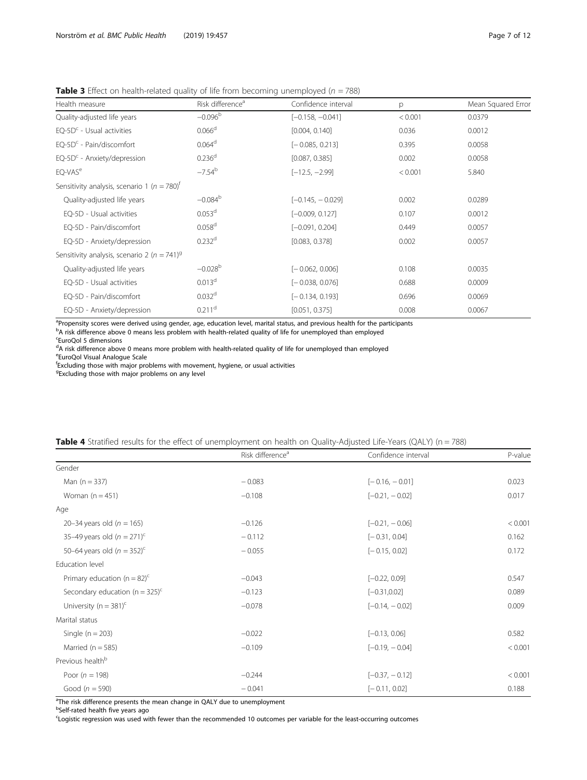<span id="page-6-0"></span>**Table 3** Effect on health-related quality of life from becoming unemployed ( $n = 788$ )

| Health measure                                              | Risk difference <sup>a</sup> | Confidence interval | p       | Mean Squared Error |
|-------------------------------------------------------------|------------------------------|---------------------|---------|--------------------|
| Quality-adjusted life years                                 | $-0.096^{\rm b}$             | $[-0.158, -0.041]$  | < 0.001 | 0.0379             |
| $EQ-5Dc$ - Usual activities                                 | 0.066 <sup>d</sup>           | [0.004, 0.140]      | 0.036   | 0.0012             |
| $EO-5Dc - Pain/discomfort$                                  | 0.064 <sup>d</sup>           | $[-0.085, 0.213]$   | 0.395   | 0.0058             |
| $EQ-5Dc - Anxiety/depression$                               | 0.236 <sup>d</sup>           | [0.087, 0.385]      | 0.002   | 0.0058             |
| EQ-VAS <sup>e</sup>                                         | $-7.54^{b}$                  | $[-12.5, -2.99]$    | < 0.001 | 5.840              |
| Sensitivity analysis, scenario 1 ( $n = 780$ ) <sup>t</sup> |                              |                     |         |                    |
| Quality-adjusted life years                                 | $-0.084^{\rm b}$             | $[-0.145, -0.029]$  | 0.002   | 0.0289             |
| EQ-5D - Usual activities                                    | 0.053 <sup>d</sup>           | $[-0.009, 0.127]$   | 0.107   | 0.0012             |
| EQ-5D - Pain/discomfort                                     | 0.058 <sup>d</sup>           | $[-0.091, 0.204]$   | 0.449   | 0.0057             |
| EQ-5D - Anxiety/depression                                  | 0.232 <sup>d</sup>           | [0.083, 0.378]      | 0.002   | 0.0057             |
| Sensitivity analysis, scenario 2 ( $n = 741$ ) <sup>9</sup> |                              |                     |         |                    |
| Quality-adjusted life years                                 | $-0.028^{b}$                 | $[-0.062, 0.006]$   | 0.108   | 0.0035             |
| EQ-5D - Usual activities                                    | 0.013 <sup>d</sup>           | $[-0.038, 0.076]$   | 0.688   | 0.0009             |
| EQ-5D - Pain/discomfort                                     | 0.032 <sup>d</sup>           | $[-0.134, 0.193]$   | 0.696   | 0.0069             |
| EQ-5D - Anxiety/depression                                  | $0.211$ <sup>d</sup>         | [0.051, 0.375]      | 0.008   | 0.0067             |

<sup>a</sup>Propensity scores were derived using gender, age, education level, marital status, and previous health for the participants<br><sup>b</sup>A risk difference above 0 means less problem with health-related quality of life for unemplo

c EuroQol 5 dimensions

<sup>d</sup>A risk difference above 0 means more problem with health-related quality of life for unemployed than employed e EuroQol Visual Analogue Scale

f Excluding those with major problems with movement, hygiene, or usual activities

<sup>g</sup>Excluding those with major problems on any level

|                                                | Risk difference <sup>a</sup> | Confidence interval | P-value |
|------------------------------------------------|------------------------------|---------------------|---------|
| Gender                                         |                              |                     |         |
| Man $(n = 337)$                                | $-0.083$                     | $[-0.16, -0.01]$    | 0.023   |
| Woman $(n = 451)$                              | $-0.108$                     | $[-0.21, -0.02]$    | 0.017   |
| Age                                            |                              |                     |         |
| 20-34 years old ( $n = 165$ )                  | $-0.126$                     | $[-0.21, -0.06]$    | < 0.001 |
| 35-49 years old $(n = 271)^{c}$                | $-0.112$                     | $[-0.31, 0.04]$     | 0.162   |
| 50-64 years old $(n = 352)^{c}$                | $-0.055$                     | $[-0.15, 0.02]$     | 0.172   |
| Education level                                |                              |                     |         |
| Primary education ( $n = 82$ ) <sup>c</sup>    | $-0.043$                     | $[-0.22, 0.09]$     | 0.547   |
| Secondary education ( $n = 325$ ) <sup>c</sup> | $-0.123$                     | $[-0.31, 0.02]$     | 0.089   |
| University ( $n = 381$ ) <sup>c</sup>          | $-0.078$                     | $[-0.14, -0.02]$    | 0.009   |
| Marital status                                 |                              |                     |         |
| Single ( $n = 203$ )                           | $-0.022$                     | $[-0.13, 0.06]$     | 0.582   |
| Married ( $n = 585$ )                          | $-0.109$                     | $[-0.19, -0.04]$    | < 0.001 |
| Previous health <sup>b</sup>                   |                              |                     |         |
| Poor ( $n = 198$ )                             | $-0.244$                     | $[-0.37, -0.12]$    | < 0.001 |
| Good ( $n = 590$ )                             | $-0.041$                     | $[-0.11, 0.02]$     | 0.188   |

Table 4 Stratified results for the effect of unemployment on health on Quality-Adjusted Life-Years (QALY) (n = 788)

<sup>a</sup>The risk difference presents the mean change in QALY due to unemployment

b<br>Self-rated health five years ago

c Logistic regression was used with fewer than the recommended 10 outcomes per variable for the least-occurring outcomes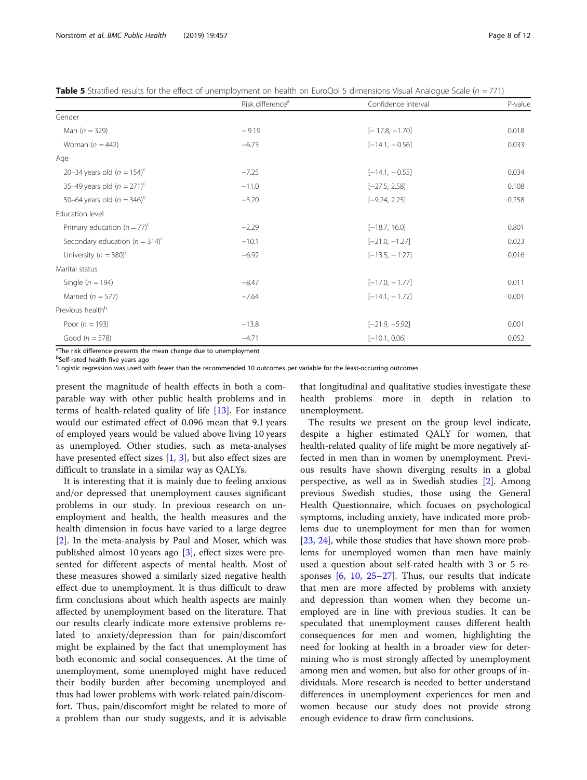<span id="page-7-0"></span>

| Table 5 Stratified results for the effect of unemployment on health on EuroQol 5 dimensions Visual Analogue Scale (n = 771) |  |
|-----------------------------------------------------------------------------------------------------------------------------|--|
|-----------------------------------------------------------------------------------------------------------------------------|--|

|                                                | Risk difference <sup>a</sup> | Confidence interval | P-value |
|------------------------------------------------|------------------------------|---------------------|---------|
| Gender                                         |                              |                     |         |
| Man $(n = 329)$                                | $-9.19$                      | $[-17.8, -1.70]$    | 0.018   |
| Woman $(n = 442)$                              | $-6.73$                      | $[-14.1, -0.56]$    | 0.033   |
| Age                                            |                              |                     |         |
| 20-34 years old $(n = 154)^c$                  | $-7.25$                      | $[-14.1, -0.55]$    | 0.034   |
| 35-49 years old $(n = 271)^{c}$                | $-11.0$                      | $[-27.5, 2.58]$     | 0.108   |
| 50-64 years old ( $n = 346$ ) <sup>c</sup>     | $-3.20$                      | $[-9.24, 2.25]$     | 0.258   |
| Education level                                |                              |                     |         |
| Primary education $(n = 77)^c$                 | $-2.29$                      | $[-18.7, 16.0]$     | 0.801   |
| Secondary education ( $n = 314$ ) <sup>c</sup> | $-10.1$                      | $[-21.0, -1.27]$    | 0.023   |
| University ( $n = 380$ ) <sup>c</sup>          | $-6.92$                      | $[-13.5, -1.27]$    | 0.016   |
| Marital status                                 |                              |                     |         |
| Single ( $n = 194$ )                           | $-8.47$                      | $[-17.0, -1.77]$    | 0.011   |
| Married ( $n = 577$ )                          | $-7.64$                      | $[-14.1, -1.72]$    | 0.001   |
| Previous health <sup>b</sup>                   |                              |                     |         |
| Poor ( $n = 193$ )                             | $-13.8$                      | $[-21.9, -5.92]$    | 0.001   |
| Good ( $n = 578$ )                             | $-4.71$                      | $[-10.1, 0.06]$     | 0.052   |

<sup>a</sup>The risk difference presents the mean change due to unemployment

<sup>b</sup>Self-rated health five years ago

c Logistic regression was used with fewer than the recommended 10 outcomes per variable for the least-occurring outcomes

present the magnitude of health effects in both a comparable way with other public health problems and in terms of health-related quality of life [[13\]](#page-11-0). For instance would our estimated effect of 0.096 mean that 9.1 years of employed years would be valued above living 10 years as unemployed. Other studies, such as meta-analyses have presented effect sizes  $[1, 3]$  $[1, 3]$  $[1, 3]$  $[1, 3]$ , but also effect sizes are difficult to translate in a similar way as QALYs.

It is interesting that it is mainly due to feeling anxious and/or depressed that unemployment causes significant problems in our study. In previous research on unemployment and health, the health measures and the health dimension in focus have varied to a large degree [[2\]](#page-11-0). In the meta-analysis by Paul and Moser, which was published almost 10 years ago [\[3\]](#page-11-0), effect sizes were presented for different aspects of mental health. Most of these measures showed a similarly sized negative health effect due to unemployment. It is thus difficult to draw firm conclusions about which health aspects are mainly affected by unemployment based on the literature. That our results clearly indicate more extensive problems related to anxiety/depression than for pain/discomfort might be explained by the fact that unemployment has both economic and social consequences. At the time of unemployment, some unemployed might have reduced their bodily burden after becoming unemployed and thus had lower problems with work-related pain/discomfort. Thus, pain/discomfort might be related to more of a problem than our study suggests, and it is advisable

that longitudinal and qualitative studies investigate these health problems more in depth in relation to unemployment.

The results we present on the group level indicate, despite a higher estimated QALY for women, that health-related quality of life might be more negatively affected in men than in women by unemployment. Previous results have shown diverging results in a global perspective, as well as in Swedish studies [[2\]](#page-11-0). Among previous Swedish studies, those using the General Health Questionnaire, which focuses on psychological symptoms, including anxiety, have indicated more problems due to unemployment for men than for women [[23,](#page-11-0) [24\]](#page-11-0), while those studies that have shown more problems for unemployed women than men have mainly used a question about self-rated health with 3 or 5 responses  $[6, 10, 25-27]$  $[6, 10, 25-27]$  $[6, 10, 25-27]$  $[6, 10, 25-27]$  $[6, 10, 25-27]$  $[6, 10, 25-27]$  $[6, 10, 25-27]$  $[6, 10, 25-27]$ . Thus, our results that indicate that men are more affected by problems with anxiety and depression than women when they become unemployed are in line with previous studies. It can be speculated that unemployment causes different health consequences for men and women, highlighting the need for looking at health in a broader view for determining who is most strongly affected by unemployment among men and women, but also for other groups of individuals. More research is needed to better understand differences in unemployment experiences for men and women because our study does not provide strong enough evidence to draw firm conclusions.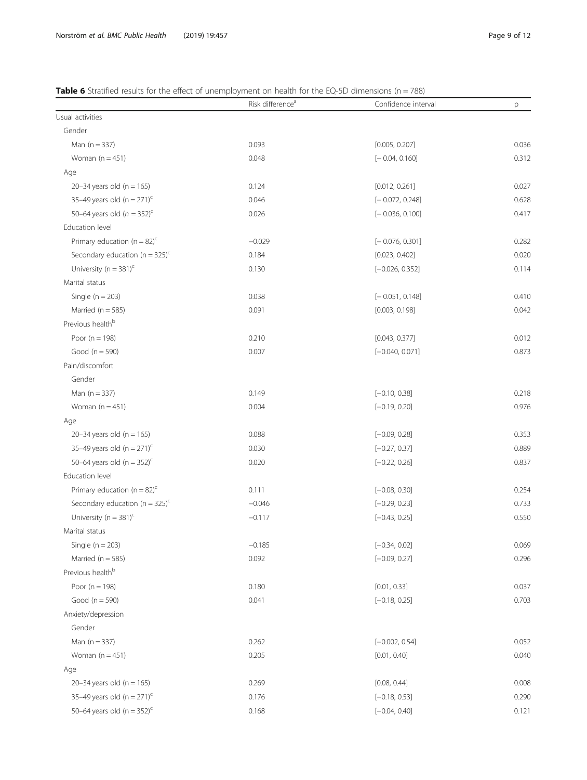# <span id="page-8-0"></span>**Table 6** Stratified results for the effect of unemployment on health for the EQ-5D dimensions ( $n = 788$ )

|                                                | Risk difference <sup>a</sup> | Confidence interval | р     |
|------------------------------------------------|------------------------------|---------------------|-------|
| Usual activities                               |                              |                     |       |
| Gender                                         |                              |                     |       |
| Man $(n = 337)$                                | 0.093                        | [0.005, 0.207]      | 0.036 |
| Woman $(n = 451)$                              | 0.048                        | $[-0.04, 0.160]$    | 0.312 |
| Age                                            |                              |                     |       |
| 20-34 years old ( $n = 165$ )                  | 0.124                        | [0.012, 0.261]      | 0.027 |
| 35-49 years old $(n = 271)^c$                  | 0.046                        | $[-0.072, 0.248]$   | 0.628 |
| 50-64 years old $(n = 352)^c$                  | 0.026                        | $[-0.036, 0.100]$   | 0.417 |
| Education level                                |                              |                     |       |
| Primary education ( $n = 82$ ) <sup>c</sup>    | $-0.029$                     | $[-0.076, 0.301]$   | 0.282 |
| Secondary education ( $n = 325$ ) <sup>c</sup> | 0.184                        | [0.023, 0.402]      | 0.020 |
| University ( $n = 381$ ) <sup>c</sup>          | 0.130                        | $[-0.026, 0.352]$   | 0.114 |
| Marital status                                 |                              |                     |       |
| Single ( $n = 203$ )                           | 0.038                        | $[-0.051, 0.148]$   | 0.410 |
| Married ( $n = 585$ )                          | 0.091                        | [0.003, 0.198]      | 0.042 |
| Previous health <sup>b</sup>                   |                              |                     |       |
| Poor ( $n = 198$ )                             | 0.210                        | [0.043, 0.377]      | 0.012 |
| Good ( $n = 590$ )                             | 0.007                        | $[-0.040, 0.071]$   | 0.873 |
| Pain/discomfort                                |                              |                     |       |
| Gender                                         |                              |                     |       |
| Man $(n = 337)$                                | 0.149                        | $[-0.10, 0.38]$     | 0.218 |
| Woman $(n = 451)$                              | 0.004                        | $[-0.19, 0.20]$     | 0.976 |
| Age                                            |                              |                     |       |
| 20-34 years old ( $n = 165$ )                  | 0.088                        | $[-0.09, 0.28]$     | 0.353 |
| 35-49 years old $(n = 271)^c$                  | 0.030                        | $[-0.27, 0.37]$     | 0.889 |
| 50-64 years old (n = $352$ ) <sup>c</sup>      | 0.020                        | $[-0.22, 0.26]$     | 0.837 |
| Education level                                |                              |                     |       |
| Primary education ( $n = 82$ ) <sup>c</sup>    | 0.111                        | $[-0.08, 0.30]$     | 0.254 |
| Secondary education ( $n = 325$ ) <sup>c</sup> | $-0.046$                     | $[-0.29, 0.23]$     | 0.733 |
| University ( $n = 381$ ) <sup>c</sup>          | $-0.117$                     | $[-0.43, 0.25]$     | 0.550 |
| Marital status                                 |                              |                     |       |
| Single ( $n = 203$ )                           | $-0.185$                     | $[-0.34, 0.02]$     | 0.069 |
| Married ( $n = 585$ )                          | 0.092                        | $[-0.09, 0.27]$     | 0.296 |
| Previous health <sup>b</sup>                   |                              |                     |       |
| Poor ( $n = 198$ )                             | 0.180                        | [0.01, 0.33]        | 0.037 |
| Good ( $n = 590$ )                             | 0.041                        | $[-0.18, 0.25]$     | 0.703 |
| Anxiety/depression                             |                              |                     |       |
| Gender                                         |                              |                     |       |
| Man $(n = 337)$                                | 0.262                        | $[-0.002, 0.54]$    | 0.052 |
| Woman $(n = 451)$                              | 0.205                        | [0.01, 0.40]        | 0.040 |
| Age                                            |                              |                     |       |
| 20-34 years old ( $n = 165$ )                  | 0.269                        | [0.08, 0.44]        | 0.008 |
| 35-49 years old $(n = 271)^c$                  | 0.176                        | $[-0.18, 0.53]$     | 0.290 |
| 50-64 years old (n = $352$ ) <sup>c</sup>      | 0.168                        | $[-0.04, 0.40]$     | 0.121 |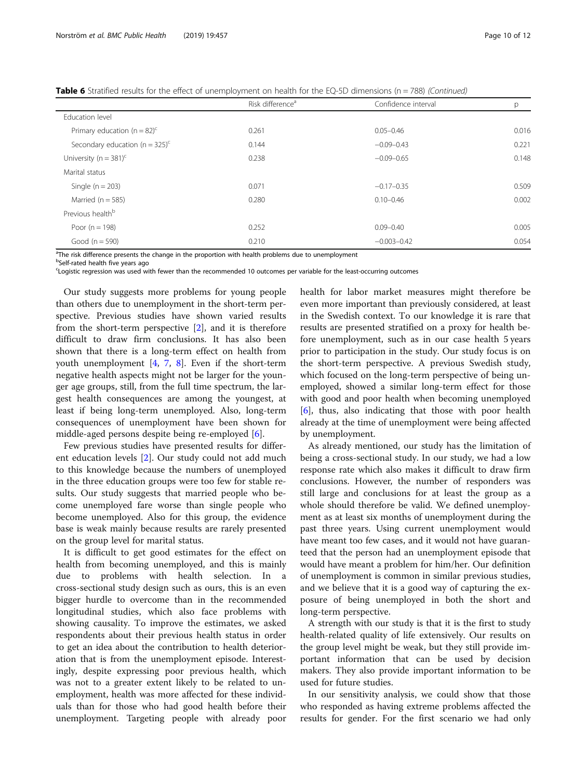**Table 6** Stratified results for the effect of unemployment on health for the EQ-5D dimensions ( $n = 788$ ) (Continued)

|                                                | Risk difference <sup>a</sup> | Confidence interval | p     |
|------------------------------------------------|------------------------------|---------------------|-------|
| Education level                                |                              |                     |       |
| Primary education ( $n = 82$ ) <sup>c</sup>    | 0.261                        | $0.05 - 0.46$       | 0.016 |
| Secondary education ( $n = 325$ ) <sup>c</sup> | 0.144                        | $-0.09 - 0.43$      | 0.221 |
| University ( $n = 381$ ) <sup>c</sup>          | 0.238                        | $-0.09 - 0.65$      | 0.148 |
| Marital status                                 |                              |                     |       |
| Single ( $n = 203$ )                           | 0.071                        | $-0.17 - 0.35$      | 0.509 |
| Married ( $n = 585$ )                          | 0.280                        | $0.10 - 0.46$       | 0.002 |
| Previous health <sup>b</sup>                   |                              |                     |       |
| Poor $(n = 198)$                               | 0.252                        | $0.09 - 0.40$       | 0.005 |
| Good ( $n = 590$ )                             | 0.210                        | $-0.003 - 0.42$     | 0.054 |

<sup>a</sup>The risk difference presents the change in the proportion with health problems due to unemployment

<sup>b</sup>Self-rated health five years ago

c Logistic regression was used with fewer than the recommended 10 outcomes per variable for the least-occurring outcomes

Our study suggests more problems for young people than others due to unemployment in the short-term perspective. Previous studies have shown varied results from the short-term perspective [\[2](#page-11-0)], and it is therefore difficult to draw firm conclusions. It has also been shown that there is a long-term effect on health from youth unemployment  $[4, 7, 8]$  $[4, 7, 8]$  $[4, 7, 8]$  $[4, 7, 8]$  $[4, 7, 8]$  $[4, 7, 8]$ . Even if the short-term negative health aspects might not be larger for the younger age groups, still, from the full time spectrum, the largest health consequences are among the youngest, at least if being long-term unemployed. Also, long-term consequences of unemployment have been shown for middle-aged persons despite being re-employed [\[6](#page-11-0)].

Few previous studies have presented results for different education levels [[2\]](#page-11-0). Our study could not add much to this knowledge because the numbers of unemployed in the three education groups were too few for stable results. Our study suggests that married people who become unemployed fare worse than single people who become unemployed. Also for this group, the evidence base is weak mainly because results are rarely presented on the group level for marital status.

It is difficult to get good estimates for the effect on health from becoming unemployed, and this is mainly due to problems with health selection. In a cross-sectional study design such as ours, this is an even bigger hurdle to overcome than in the recommended longitudinal studies, which also face problems with showing causality. To improve the estimates, we asked respondents about their previous health status in order to get an idea about the contribution to health deterioration that is from the unemployment episode. Interestingly, despite expressing poor previous health, which was not to a greater extent likely to be related to unemployment, health was more affected for these individuals than for those who had good health before their unemployment. Targeting people with already poor health for labor market measures might therefore be even more important than previously considered, at least in the Swedish context. To our knowledge it is rare that results are presented stratified on a proxy for health before unemployment, such as in our case health 5 years prior to participation in the study. Our study focus is on the short-term perspective. A previous Swedish study, which focused on the long-term perspective of being unemployed, showed a similar long-term effect for those with good and poor health when becoming unemployed [[6\]](#page-11-0), thus, also indicating that those with poor health already at the time of unemployment were being affected by unemployment.

As already mentioned, our study has the limitation of being a cross-sectional study. In our study, we had a low response rate which also makes it difficult to draw firm conclusions. However, the number of responders was still large and conclusions for at least the group as a whole should therefore be valid. We defined unemployment as at least six months of unemployment during the past three years. Using current unemployment would have meant too few cases, and it would not have guaranteed that the person had an unemployment episode that would have meant a problem for him/her. Our definition of unemployment is common in similar previous studies, and we believe that it is a good way of capturing the exposure of being unemployed in both the short and long-term perspective.

A strength with our study is that it is the first to study health-related quality of life extensively. Our results on the group level might be weak, but they still provide important information that can be used by decision makers. They also provide important information to be used for future studies.

In our sensitivity analysis, we could show that those who responded as having extreme problems affected the results for gender. For the first scenario we had only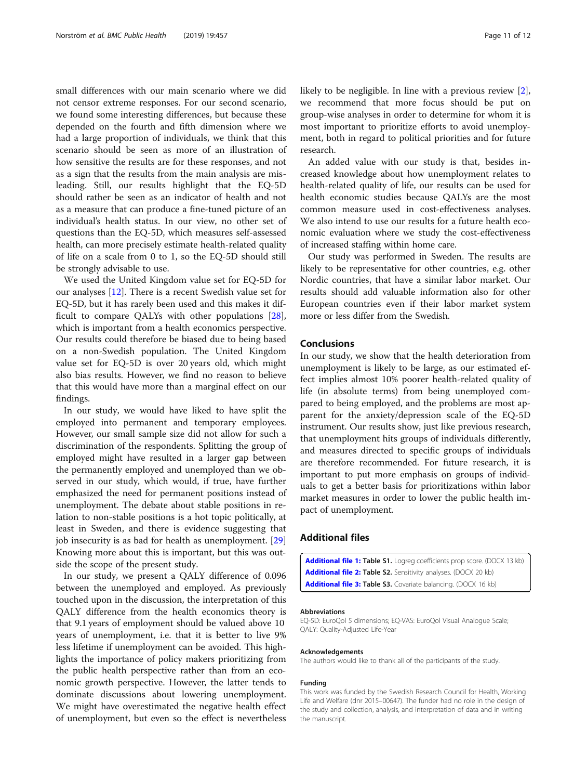<span id="page-10-0"></span>small differences with our main scenario where we did not censor extreme responses. For our second scenario, we found some interesting differences, but because these depended on the fourth and fifth dimension where we had a large proportion of individuals, we think that this scenario should be seen as more of an illustration of how sensitive the results are for these responses, and not as a sign that the results from the main analysis are misleading. Still, our results highlight that the EQ-5D should rather be seen as an indicator of health and not as a measure that can produce a fine-tuned picture of an individual's health status. In our view, no other set of questions than the EQ-5D, which measures self-assessed health, can more precisely estimate health-related quality of life on a scale from 0 to 1, so the EQ-5D should still be strongly advisable to use.

We used the United Kingdom value set for EQ-5D for our analyses [\[12](#page-11-0)]. There is a recent Swedish value set for EQ-5D, but it has rarely been used and this makes it difficult to compare QALYs with other populations [\[28](#page-11-0)], which is important from a health economics perspective. Our results could therefore be biased due to being based on a non-Swedish population. The United Kingdom value set for EQ-5D is over 20 years old, which might also bias results. However, we find no reason to believe that this would have more than a marginal effect on our findings.

In our study, we would have liked to have split the employed into permanent and temporary employees. However, our small sample size did not allow for such a discrimination of the respondents. Splitting the group of employed might have resulted in a larger gap between the permanently employed and unemployed than we observed in our study, which would, if true, have further emphasized the need for permanent positions instead of unemployment. The debate about stable positions in relation to non-stable positions is a hot topic politically, at least in Sweden, and there is evidence suggesting that job insecurity is as bad for health as unemployment. [[29](#page-11-0)] Knowing more about this is important, but this was outside the scope of the present study.

In our study, we present a QALY difference of 0.096 between the unemployed and employed. As previously touched upon in the discussion, the interpretation of this QALY difference from the health economics theory is that 9.1 years of employment should be valued above 10 years of unemployment, i.e. that it is better to live 9% less lifetime if unemployment can be avoided. This highlights the importance of policy makers prioritizing from the public health perspective rather than from an economic growth perspective. However, the latter tends to dominate discussions about lowering unemployment. We might have overestimated the negative health effect of unemployment, but even so the effect is nevertheless likely to be negligible. In line with a previous review [\[2](#page-11-0)], we recommend that more focus should be put on group-wise analyses in order to determine for whom it is most important to prioritize efforts to avoid unemployment, both in regard to political priorities and for future research.

An added value with our study is that, besides increased knowledge about how unemployment relates to health-related quality of life, our results can be used for health economic studies because QALYs are the most common measure used in cost-effectiveness analyses. We also intend to use our results for a future health economic evaluation where we study the cost-effectiveness of increased staffing within home care.

Our study was performed in Sweden. The results are likely to be representative for other countries, e.g. other Nordic countries, that have a similar labor market. Our results should add valuable information also for other European countries even if their labor market system more or less differ from the Swedish.

# Conclusions

In our study, we show that the health deterioration from unemployment is likely to be large, as our estimated effect implies almost 10% poorer health-related quality of life (in absolute terms) from being unemployed compared to being employed, and the problems are most apparent for the anxiety/depression scale of the EQ-5D instrument. Our results show, just like previous research, that unemployment hits groups of individuals differently, and measures directed to specific groups of individuals are therefore recommended. For future research, it is important to put more emphasis on groups of individuals to get a better basis for prioritizations within labor market measures in order to lower the public health impact of unemployment.

# Additional files

[Additional file 1:](https://doi.org/10.1186/s12889-019-6825-y) Table S1. Logreg coefficients prop score. (DOCX 13 kb) [Additional file 2:](https://doi.org/10.1186/s12889-019-6825-y) Table S2. Sensitivity analyses. (DOCX 20 kb) [Additional file 3:](https://doi.org/10.1186/s12889-019-6825-y) Table S3. Covariate balancing. (DOCX 16 kb)

#### Abbreviations

EQ-5D: EuroQol 5 dimensions; EQ-VAS: EuroQol Visual Analogue Scale; QALY: Quality-Adjusted Life-Year

#### Acknowledgements

The authors would like to thank all of the participants of the study.

#### Funding

This work was funded by the Swedish Research Council for Health, Working Life and Welfare (dnr 2015–00647). The funder had no role in the design of the study and collection, analysis, and interpretation of data and in writing the manuscript.